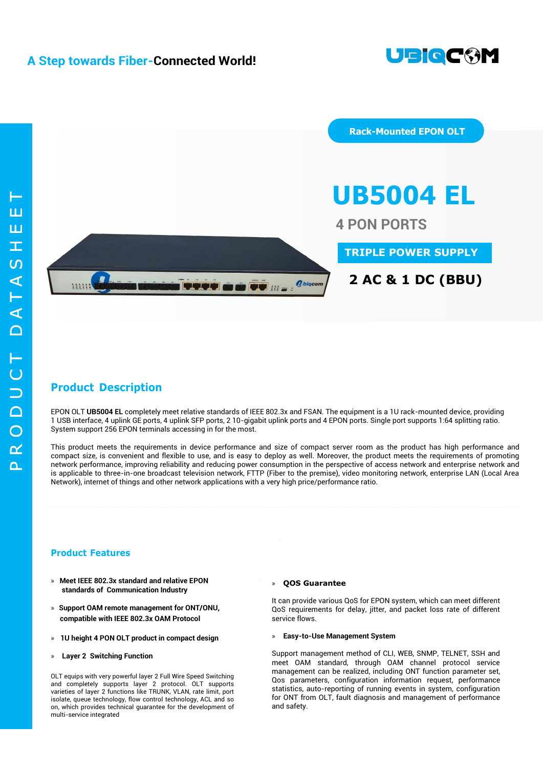





## **2 AC & 1 DC (BBU)**

## **Product Description**

EPON OLT **UB5004 EL** completely meet relative standards of IEEE 802.3x and FSAN. The equipment is a 1U rack-mounted device, providing 1 USB interface, 4 uplink GE ports, 4 uplink SFP ports, 2 10-gigabit uplink ports and 4 EPON ports. Single port supports 1:64 splitting ratio. System support 256 EPON terminals accessing in for the most.

This product meets the requirements in device performance and size of compact server room as the product has high performance and compact size, is convenient and flexible to use, and is easy to deploy as well. Moreover, the product meets the requirements of promoting network performance, improving reliability and reducing power consumption in the perspective of access network and enterprise network and is applicable to three-in-one broadcast television network, FTTP (Fiber to the premise), video monitoring network, enterprise LAN (Local Area Network), internet of things and other network applications with a very high price/performance ratio.

### **Product Features**

- **» Meet IEEE 802.3x standard and relative EPON standards of Communication Industry**
- **» Support OAM remote management for ONT/ONU, compatible with IEEE 802.3x OAM Protocol**
- **» 1U height 4 PON OLT product in compact design**
- **» Layer 2 Switching Function**

OLT equips with very powerful layer 2 Full Wire Speed Switching and completely supports layer 2 protocol. OLT supports varieties of layer 2 functions like TRUNK, VLAN, rate limit, port isolate, queue technology, flow control technology, ACL and so on, which provides technical guarantee for the development of multi-service integrated

#### **» QOS Guarantee**

It can provide various QoS for EPON system, which can meet different QoS requirements for delay, jitter, and packet loss rate of different service flows.

**» Easy-to-Use Management System**

Support management method of CLI, WEB, SNMP, TELNET, SSH and meet OAM standard, through OAM channel protocol service management can be realized, including ONT function parameter set, Qos parameters, configuration information request, performance statistics, auto-reporting of running events in system, configuration for ONT from OLT, fault diagnosis and management of performance and safety.